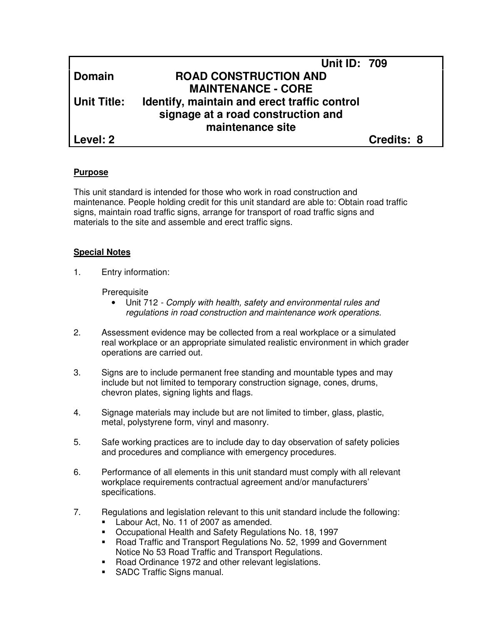|               | <b>Unit ID: 709</b>                          |            |
|---------------|----------------------------------------------|------------|
| <b>Domain</b> | <b>ROAD CONSTRUCTION AND</b>                 |            |
|               | <b>MAINTENANCE - CORE</b>                    |            |
| Unit Title:   | Identify, maintain and erect traffic control |            |
|               | signage at a road construction and           |            |
|               | maintenance site                             |            |
| l Level: 2    |                                              | Credits: 8 |

#### **Purpose**

This unit standard is intended for those who work in road construction and maintenance. People holding credit for this unit standard are able to: Obtain road traffic signs, maintain road traffic signs, arrange for transport of road traffic signs and materials to the site and assemble and erect traffic signs.

#### **Special Notes**

1. Entry information:

**Prerequisite** 

- Unit 712 Comply with health, safety and environmental rules and regulations in road construction and maintenance work operations.
- 2. Assessment evidence may be collected from a real workplace or a simulated real workplace or an appropriate simulated realistic environment in which grader operations are carried out.
- 3. Signs are to include permanent free standing and mountable types and may include but not limited to temporary construction signage, cones, drums, chevron plates, signing lights and flags.
- 4. Signage materials may include but are not limited to timber, glass, plastic, metal, polystyrene form, vinyl and masonry.
- 5. Safe working practices are to include day to day observation of safety policies and procedures and compliance with emergency procedures.
- 6. Performance of all elements in this unit standard must comply with all relevant workplace requirements contractual agreement and/or manufacturers' specifications.
- 7. Regulations and legislation relevant to this unit standard include the following: Labour Act, No. 11 of 2007 as amended.
	- Occupational Health and Safety Regulations No. 18, 1997
	- Road Traffic and Transport Regulations No. 52, 1999 and Government Notice No 53 Road Traffic and Transport Regulations.
	- Road Ordinance 1972 and other relevant legislations.
	- **SADC Traffic Signs manual.**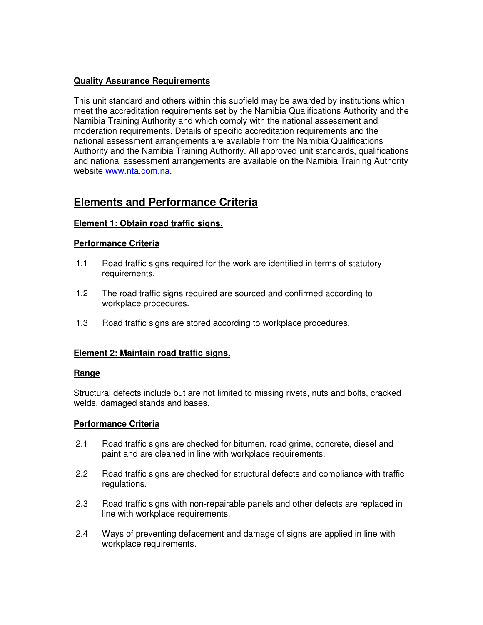## **Quality Assurance Requirements**

This unit standard and others within this subfield may be awarded by institutions which meet the accreditation requirements set by the Namibia Qualifications Authority and the Namibia Training Authority and which comply with the national assessment and moderation requirements. Details of specific accreditation requirements and the national assessment arrangements are available from the Namibia Qualifications Authority and the Namibia Training Authority. All approved unit standards, qualifications and national assessment arrangements are available on the Namibia Training Authority website www.nta.com.na.

# **Elements and Performance Criteria**

## **Element 1: Obtain road traffic signs.**

### **Performance Criteria**

- 1.1 Road traffic signs required for the work are identified in terms of statutory requirements.
- 1.2 The road traffic signs required are sourced and confirmed according to workplace procedures.
- 1.3 Road traffic signs are stored according to workplace procedures.

## **Element 2: Maintain road traffic signs.**

### **Range**

Structural defects include but are not limited to missing rivets, nuts and bolts, cracked welds, damaged stands and bases.

### **Performance Criteria**

- 2.1 Road traffic signs are checked for bitumen, road grime, concrete, diesel and paint and are cleaned in line with workplace requirements.
- 2.2 Road traffic signs are checked for structural defects and compliance with traffic regulations.
- 2.3 Road traffic signs with non-repairable panels and other defects are replaced in line with workplace requirements.
- 2.4 Ways of preventing defacement and damage of signs are applied in line with workplace requirements.